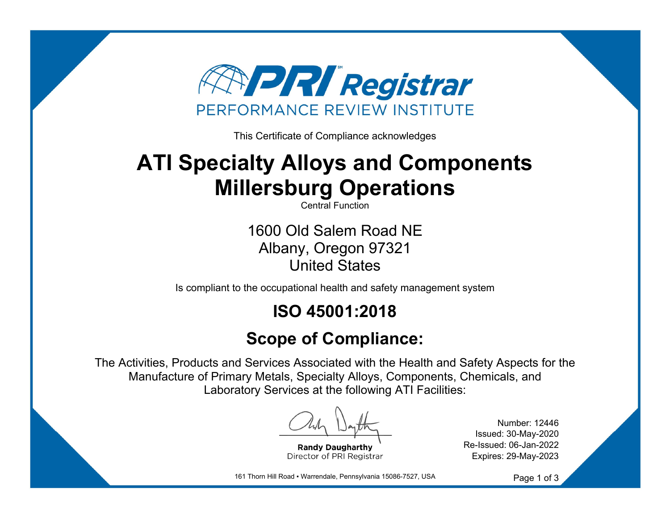

This Certificate of Compliance acknowledges

# **ATI Specialty Alloys and Components Millersburg Operations**

Central Function

1600 Old Salem Road NE Albany, Oregon 97321 United States

Is compliant to the occupational health and safety management system

## **ISO 45001:2018**

## **Scope of Compliance:**

The Activities, Products and Services Associated with the Health and Safety Aspects for the Manufacture of Primary Metals, Specialty Alloys, Components, Chemicals, and Laboratory Services at the following ATI Facilities:

**Randy Daugharth** Director of PRI Registrar

Number: 12446 Issued: 30-May-2020 Re-Issued: 06-Jan-2022 Expires: 29-May-2023

161 Thorn Hill Road ▪ Warrendale, Pennsylvania 15086-7527, USA

Page 1 of 3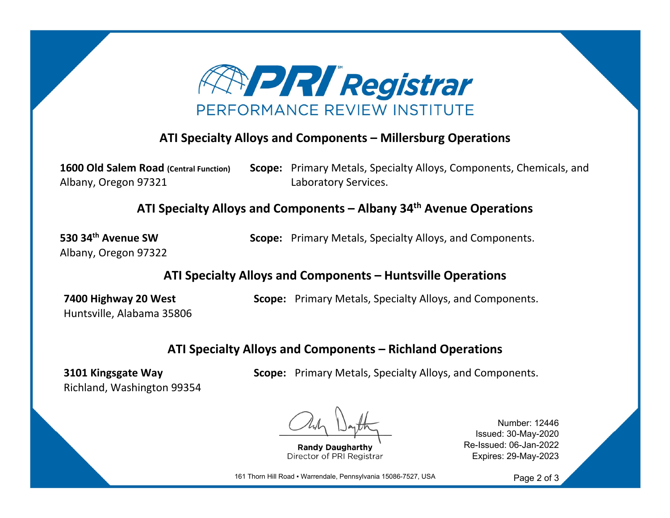

#### **ATI Specialty Alloys and Components – Millersburg Operations**

**1600 Old Salem Road (Central Function)** Albany, Oregon 97321 **Scope:** Primary Metals, Specialty Alloys, Components, Chemicals, and Laboratory Services.

**ATI Specialty Alloys and Components – Albany 34th Avenue Operations**

**530 34th Avenue SW**Albany, Oregon 97322 **Scope:** Primary Metals, Specialty Alloys, and Components.

**ATI Specialty Alloys and Components – Huntsville Operations**

**7400 Highway 20 West** Huntsville, Alabama 35806 **Scope:** Primary Metals, Specialty Alloys, and Components.

#### **ATI Specialty Alloys and Components – Richland Operations**

**3101 Kingsgate Way** Richland, Washington 99354 **Scope:** Primary Metals, Specialty Alloys, and Components.

**Randy Daugharthy** Director of PRI Registrar

Number: 12446 Issued: 30-May-2020 Re-Issued: 06-Jan-2022 Expires: 29-May-2023

161 Thorn Hill Road · Warrendale, Pennsylvania 15086-7527, USA

Page 2 of 3